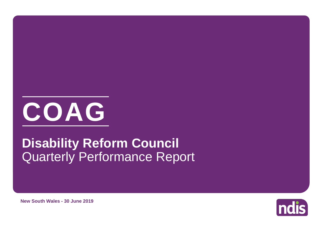

# Quarterly Performance Report **Disability Reform Council**



**New South Wales - 30 June 2019**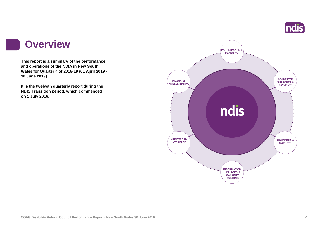

#### **Overview**

**This report is a summary of the performance and operations of the NDIA in New South Wales for Quarter 4 of 2018-19 (01 April 2019 - 30 June 2019).**

**It is the twelveth quarterly report during the NDIS Transition period, which commenced on 1 July 2016.** 

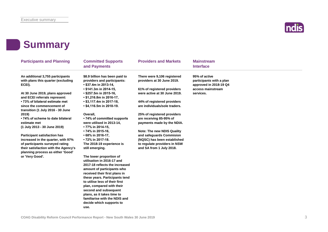

#### **Summary**

| <b>Participants and Planning</b>                                                                                                                     | <b>Committed Supports</b><br>and Payments                                                                         | <b>Providers and Markets</b>                                                                                                                             | <b>Mainstream</b><br><b>Interface</b>                               |  |
|------------------------------------------------------------------------------------------------------------------------------------------------------|-------------------------------------------------------------------------------------------------------------------|----------------------------------------------------------------------------------------------------------------------------------------------------------|---------------------------------------------------------------------|--|
| An additional 3,755 participants<br>with plans this quarter (excluding<br>ECEI).                                                                     | \$8.9 billion has been paid to<br>providers and participants:<br>$\cdot$ \$37.4m in 2013-14,                      | There were 9,106 registered<br>providers at 30 June 2019.                                                                                                | 95% of active<br>participants with a plan<br>approved in 2018-19 Q4 |  |
| At 30 June 2019, plans approved<br>and ECEI referrals represent:                                                                                     | • \$141.3m in 2014-15,<br>• \$257.5m in 2015-16,<br>$\cdot$ \$1,216.8m in 2016-17,                                | 61% of registered providers<br>were active at 30 June 2019.                                                                                              | access mainstream<br>services.                                      |  |
| • 73% of bilateral estimate met<br>since the commencement of<br>transition (1 July 2016 - 30 June                                                    | • \$3,117.4m in 2017-18,<br>$\cdot$ \$4,116.5m in 2018-19.                                                        | 44% of registered providers<br>are individuals/sole traders.                                                                                             |                                                                     |  |
| 2019)<br>• 74% of scheme to date bilateral<br>estimate met<br>(1 July 2013 - 30 June 2019)                                                           | Overall,<br>• 74% of committed supports<br>were utilised in 2013-14,<br>• 77% in 2014-15,                         | 25% of registered providers<br>are receiving 85-95% of<br>payments made by the NDIA.                                                                     |                                                                     |  |
| <b>Participant satisfaction has</b><br>increased in the quarter, with 97%<br>of participants surveyed rating<br>their satisfaction with the Agency's | • 74% in 2015-16,<br>$\cdot$ 68% in 2016-17,<br>• 72% in 2017-18.<br>The 2018-19 experience is<br>still emerging. | <b>Note: The new NDIS Quality</b><br>and safeguards Commision<br>(NQSC) has been established<br>to regulate providers in NSW<br>and SA from 1 July 2018. |                                                                     |  |
| planning process as either 'Good'<br>or 'Very Good'.                                                                                                 | The lower proportion of<br>utilisation in 2016-17 and<br>2017-18 reflects the increased                           |                                                                                                                                                          |                                                                     |  |
|                                                                                                                                                      | amount of participants who<br>received their first plans in<br>these years. Participants tend                     |                                                                                                                                                          |                                                                     |  |
|                                                                                                                                                      | to utilise less of their first<br>plan, compared with their<br>second and subsequent                              |                                                                                                                                                          |                                                                     |  |
|                                                                                                                                                      | plans, as it takes time to<br>familiarise with the NDIS and<br>decide which supports to                           |                                                                                                                                                          |                                                                     |  |
|                                                                                                                                                      | use.                                                                                                              |                                                                                                                                                          |                                                                     |  |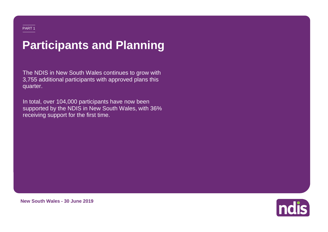# **Participants and Planning**

The NDIS in New South Wales continues to grow with 3,755 additional participants with approved plans this quarter.

10 111<br>b5 fi In total, over 104,000 participants have now been supported by the NDIS in New South Wales, with 36% receiving support for the first time.



**New South Wales - 30 June 2019**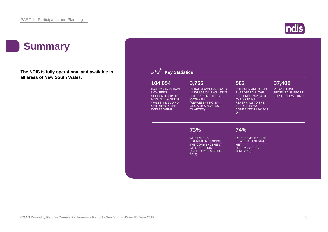#### **Summary**

**The NDIS is fully operational and available in all areas of New South Wales.**



ndis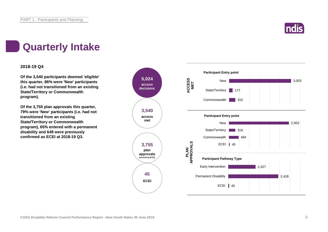

### **Quarterly Intake**

#### **2018-19 Q4**

**Of the 3,540 participants deemed 'eligible' this quarter, 86% were 'New' participants (i.e. had not transitioned from an existing State/Territory or Commonwealth program).**

**Of the 3,755 plan approvals this quarter, 79% were 'New' participants (i.e. had not transitioned from an existing State/Territory or Commonwealth program), 65% entered with a permanent disability and 649 were previously confirmed as ECEI at 2018-19 Q3.**

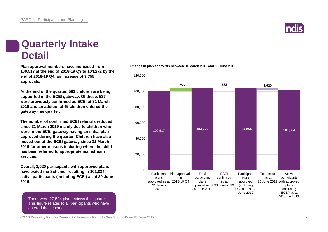### **Quarterly Intake Detail**

**Plan approval numbers have increased from 100,517 at the end of 2018-19 Q3 to 104,272 by the end of 2018-19 Q4, an increase of 3,755 approvals.**

**At the end of the quarter, 582 children are being supported in the ECEI gateway. Of these, 537 were previously confirmed as ECEI at 31 March 2019 and an additional 45 children entered the gateway this quarter.**

**The number of confirmed ECEI referrals reduced since 31 March 2019 mainly due to children who were in the ECEI gateway having an initial plan approved during the quarter. Children have also moved out of the ECEI gateway since 31 March 2019 for other reasons including where the child has been referred to appropriate mainstream services.**

**Overall, 3,020 participants with approved plans have exited the Scheme, resulting in 101,834 active participants (including ECEI) as at 30 June 2019.**

There were 27,594 plan reviews this quarter. This figure relates to all participants who have entered the scheme.

**Change in plan approvals between 31 March 2019 and 30 June 2019**



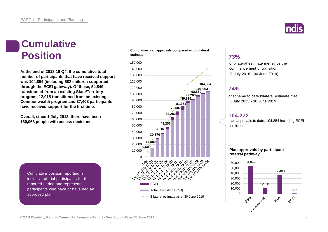### **Cumulative Position**

**At the end of 2018-19 Q4, the cumulative total number of participants that have received support was 104,854 (including 582 children supported through the ECEI gateway). Of these, 54,849 transitioned from an existing State/Territory program, 12,015 transitioned from an existing Commonwealth program and 37,408 participants have received support for the first time.**

**Overall, since 1 July 2013, there have been 130,063 people with access decisions.**

**Cumulative plan approvals compared with bilateral estimate**



#### **73%**

of bilateral estimate met since the commencement of transition (1 July 2016 - 30 June 2019)

#### **74%**

of scheme to date bilateral estimate met (1 July 2013 - 30 June 2019)

#### **104,272**

plan approvals to date; 104,854 including ECEI confirmed

#### **Plan approvals by participant referral pathway**



Cumulative position reporting is inclusive of trial participants for the reported period and represents participants who have or have had an approved plan.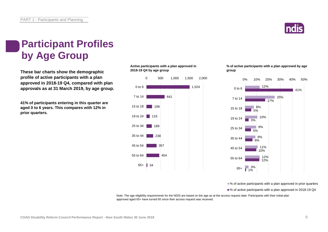

# **Participant Profiles by Age Group**

**These bar charts show the demographic profile of active participants with a plan approved in 2018-19 Q4, compared with plan approvals as at 31 March 2019, by age group.**

**41% of participants entering in this quarter are aged 0 to 6 years. This compares with 12% in prior quarters.**

#### **Active participants with a plan approved in 2018-19 Q4 by age group**



#### **% of active participants with a plan approved by age group**



■% of active participants with a plan approved in prior quarters

■% of active participants with a plan approved in 2018-19 Q4

Note: The age eligibility requirements for the NDIS are based on the age as at the access request date. Participants with their initial plan approved aged 65+ have turned 65 since their access request was received.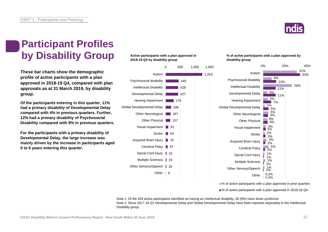

### **Participant Profiles by Disability Group**

**These bar charts show the demographic profile of active participants with a plan approved in 2018-19 Q4, compared with plan approvals as at 31 March 2019, by disability group.**

**Of the participants entering in this quarter, 11% had a primary disability of Developmental Delay compared with 4% in previous quarters. Further, 12% had a primary disability of Psychosocial Disability compared with 8% in previous quarters.**

**For the participants with a primary disability of Developmental Delay, the large increase was mainly driven by the increase in participants aged 0 to 6 years entering this quarter.**

#### **Active participants with a plan approved in 2018-19 Q4 by disability group**



#### **% of active participants with a plan approved by disability group**



■% of active participants with a plan approved in prior quarters

■% of active participants with a plan approved in 2018-19 Q4

Note 1: Of the 428 active participants identified as having an intellectual disability, 40 (9%) have down syndrome. Note 2: Since 2017-18 Q1 Developmental Delay and Global Developmental Delay have been reported separately to the Intellectual Disability group.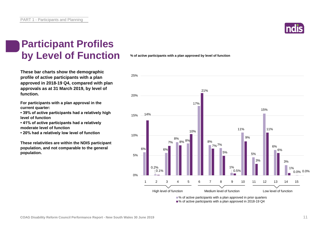

### **Participant Profiles by Level of Function**

**These bar charts show the demographic profile of active participants with a plan approved in 2018-19 Q4, compared with plan approvals as at 31 March 2019, by level of function.**

**For participants with a plan approval in the current quarter:** 

**• 39% of active participants had a relatively high level of function**

**• 41% of active participants had a relatively moderate level of function** 

**• 20% had a relatively low level of function**

**These relativities are within the NDIS participant population, and not comparable to the general population.**

**% of active participants with a plan approved by level of function**



■% of active participants with a plan approved in 2018-19 Q4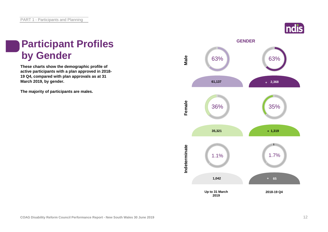

## **Participant Profiles by Gender**

**These charts show the demographic profile of active participants with a plan approved in 2018- 19 Q4, compared with plan approvals as at 31 March 2019, by gender.**

**The majority of participants are males.**

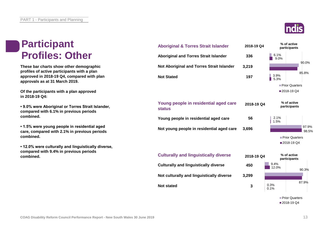### **Participant Profiles: Other**

**These bar charts show other demographic profiles of active participants with a plan approved in 2018-19 Q4, compared with plan approvals as at 31 March 2019.**

**Of the participants with a plan approved in 2018-19 Q4:**

**• 9.0% were Aboriginal or Torres Strait Islander, compared with 6.1% in previous periods combined.**

**• 1.5% were young people in residential aged care, compared with 2.1% in previous periods combined.**

**• 12.0% were culturally and linguistically diverse, compared with 9.4% in previous periods combined.**





**3**

0.3%

0.1%

**Not stated**

**Prior Quarters** 2018-19 Q4

87.9%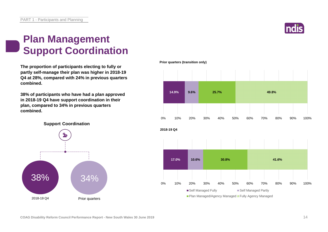![](_page_13_Picture_1.jpeg)

### **Plan Management Support Coordination**

**The proportion of participants electing to fully or partly self-manage their plan was higher in 2018-19 Q4 at 28%, compared with 24% in previous quarters combined.**

**38% of participants who have had a plan approved in 2018-19 Q4 have support coordination in their plan, compared to 34% in previous quarters combined.**

![](_page_13_Figure_5.jpeg)

**Prior quarters (transition only)**

![](_page_13_Figure_7.jpeg)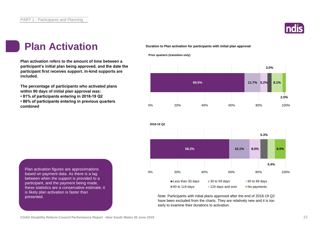![](_page_14_Picture_1.jpeg)

#### **Plan Activation**

**Plan activation refers to the amount of time between a participant's initial plan being approved, and the date the participant first receives support. In-kind supports are included.** 

**The percentage of participants who activated plans within 90 days of initial plan approval was:** 

**• 81% of participants entering in 2018-19 Q2**

**• 86% of participants entering in previous quarters combined**

**Duration to Plan activation for participants with initial plan approval**

**Prior quarters (transition only)**

![](_page_14_Figure_8.jpeg)

![](_page_14_Figure_9.jpeg)

Note: Participants with initial plans approved after the end of 2018-19 Q2 have been excluded from the charts. They are relatively new and it is too early to examine their durations to activation.

Plan activation figures are approximations based on payment data. As there is a lag between when the support is provided to a participant, and the payment being made, these statistics are a conservative estimate; it is likely plan activation is faster than presented.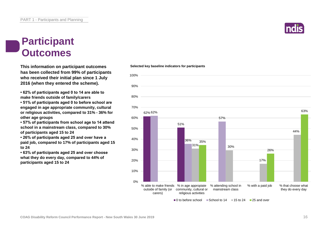![](_page_15_Picture_1.jpeg)

#### **Participant Outcomes**

**This information on participant outcomes has been collected from 99% of participants who received their initial plan since 1 July 2016 (when they entered the scheme).**

**• 62% of participants aged 0 to 14 are able to make friends outside of family/carers**

**• 51% of participants aged 0 to before school are engaged in age appropriate community, cultural or religious activities, compared to 31% - 36% for other age groups**

**• 57% of participants from school age to 14 attend school in a mainstream class, compared to 30% of participants aged 15 to 24**

**• 26% of participants aged 25 and over have a paid job, compared to 17% of participants aged 15 to 24**

**• 63% of participants aged 25 and over choose what they do every day, compared to 44% of participants aged 15 to 24**

#### 62% 62% 51% 36% 57% 31% 30% 17% 44% 35% 26% 63% 0% 10% 20% 30% 40% 50% 60% 70% 80% 90% 100% % able to make friends % in age appropiate outside of family (or community, cultural or carers) religious activities % attending school in mainstream class % with a paid job % that choose what they do every day

 $\Box$  0 to before school  $\Box$  School to 14  $\Box$  15 to 24  $\Box$  25 and over

**Selected key baseline indicators for participants**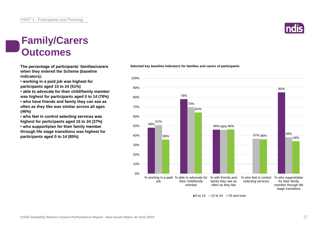### **Family/Carers Outcomes**

**when they entered the Scheme (baseline indicators):**

**• working in a paid job was highest for participants aged 15 to 24 (51%)**

**• able to advocate for their child/family member was highest for participants aged 0 to 14 (78%) • who have friends and family they can see as often as they like was similar across all ages (46%)**

**• who feel in control selecting services was highest for participants aged 15 to 24 (37%)**

**• who support/plan for their family member through life stage transitions was highest for participants aged 0 to 14 (85%)**

**The percentage of participants' families/carers Selected key baseline indicators for families and carers of participants**

![](_page_16_Figure_8.jpeg)

 $\Box$  0 to 14  $\Box$  15 to 24  $\Box$  25 and over

![](_page_16_Picture_11.jpeg)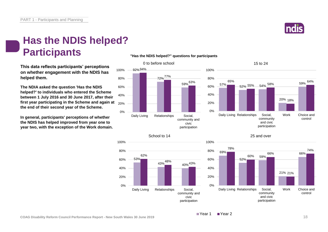![](_page_17_Picture_1.jpeg)

### **Has the NDIS helped? Participants**

**This data reflects participants' perceptions on whether engagement with the NDIS has helped them.**

**The NDIA asked the question 'Has the NDIS helped?' to individuals who entered the Scheme between 1 July 2016 and 30 June 2017, after their first year participating in the Scheme and again at the end of their second year of the Scheme.**

**In general, participants' perceptions of whether the NDIS has helped improved from year one to year two, with the exception of the Work domain.**

#### **"Has the NDIS helped?" questions for participants**

![](_page_17_Figure_7.jpeg)

![](_page_17_Figure_8.jpeg)

![](_page_17_Figure_9.jpeg)

#### 25 and over

![](_page_17_Figure_11.jpeg)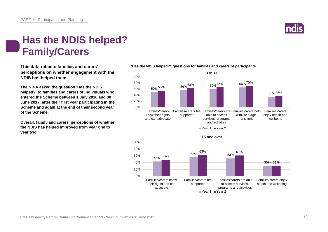![](_page_18_Picture_1.jpeg)

### **Has the NDIS helped? Family/Carers**

**This data reflects families and carers' perceptions on whether engagement with the NDIS has helped them.**

**The NDIA asked the question 'Has the NDIS helped?' to families and carers of individuals who entered the Scheme between 1 July 2016 and 30 June 2017, after their first year participating in the Scheme and again at the end of their second year of the Scheme.**

**Overall, family and carers' perceptions of whether the NDIS has helped improved from year one to year two.**

#### **"Has the NDIS helped?" questions for families and carers of participants**

![](_page_18_Figure_7.jpeg)

![](_page_18_Figure_8.jpeg)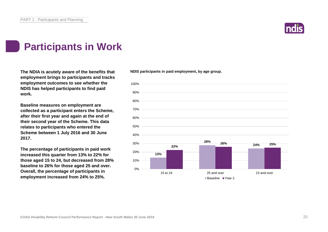![](_page_19_Picture_1.jpeg)

### **Participants in Work**

**The NDIA is acutely aware of the benefits that NDIS participants in paid employment, by age group. employment brings to participants and tracks employment outcomes to see whether the NDIS has helped participants to find paid work.**

**Baseline measures on employment are collected as a participant enters the Scheme, after their first year and again at the end of their second year of the Scheme. This data relates to participants who entered the Scheme between 1 July 2016 and 30 June 2017.**

**The percentage of participants in paid work increased this quarter from 13% to 22% for those aged 15 to 24, but decreased from 28% baseline to 26% for those aged 25 and over. Overall, the percentage of participants in employment increased from 24% to 25%.**

![](_page_19_Figure_7.jpeg)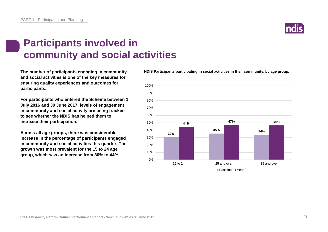### **Participants involved in community and social activities**

**The number of participants engaging in community and social activities is one of the key measures for ensuring quality experiences and outcomes for participants.**

**For participants who entered the Scheme between 1 July 2016 and 30 June 2017, levels of engagement in community and social activity are being tracked to see whether the NDIS has helped them to increase their participation.**

**Across all age groups, there was considerable increase in the percentage of participants engaged in community and social activities this quarter. The growth was most prevalent for the 15 to 24 age group, which saw an increase from 30% to 44%.**

**NDIS Participants participating in social activities in their community, by age group.**

![](_page_20_Figure_7.jpeg)

![](_page_20_Picture_8.jpeg)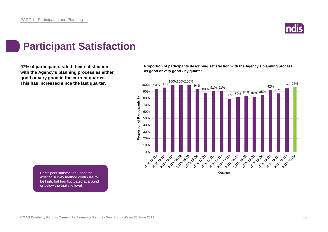![](_page_21_Picture_1.jpeg)

#### **Participant Satisfaction**

**97% of participants rated their satisfaction with the Agency's planning process as either good or very good in the current quarter. This has increased since the last quarter.**

**Proportion of participants describing satisfaction with the Agency's planning process as good or very good - by quarter**

![](_page_21_Figure_5.jpeg)

Participant satisfaction under the existing survey method continues to be high, but has fluctuated at around or below the trial site level.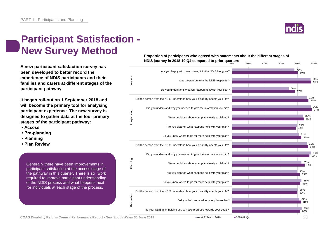### **ndis**

### **Participant Satisfaction - New Survey Method**

**A new participant satisfaction survey has been developed to better record the experience of NDIS participants and their families and carers at different stages of the participant pathway.**

**It began roll-out on 1 September 2018 and will become the primary tool for analysing participant experience. The new survey is designed to gather data at the four primary stages of the participant pathway:**

- **Access**
- **Pre-planning**
- **Planning**
- **Plan Review**

Generally there have been improvements in participant satisfaction at the access stage of the pathway in this quarter. There is still work required to improve participant understanding of the NDIS process and what happens next for individuals at each stage of the process.

**Proportion of participants who agreed with statements about the different stages of NDIS journey in 2018-19 Q4 compared to prior quarters** 0% 20% 40% 60% 80% 100%

![](_page_22_Figure_11.jpeg)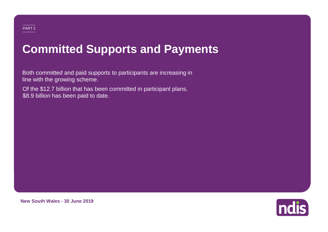# **Committed Supports and Payments**

Both committed and paid supports to participants are increasing in line with the growing scheme.

Of the \$12.7 billion that has been committed in participant plans, \$8.9 billion has been paid to date.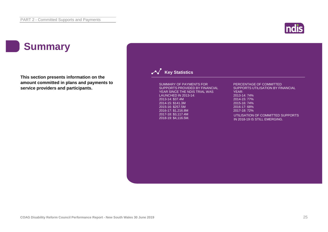### **Summary**

**This section presents information on the amount committed in plans and payments to service providers and participants.**

![](_page_24_Picture_3.jpeg)

#### **Key Statistics**

SUMMARY OF PAYMENTS FOR SUPPORTS PROVIDED BY FINANCIAL YEAR SINCE THE NDIS TRIAL WAS LAUNCHED IN 2013-14: 2013-14: \$37.4M 2014-15: \$141.3M 2015-16: \$257.5M 2016-17: \$1,216.8M 2017-18: \$3,117.4M 2018-19: \$4,116.5M.

PERCENTAGE OF COMMITTED SUPPORTS UTILISATION BY FINANCIAL YEAR: 2013-14: 74% 2014-15: 77% 2015-16: 74% 2016-17: 68% 2017-18: 72% UTILISATION OF COMMITTED SUPPORTS IN 2018-19 IS STILL EMERGING.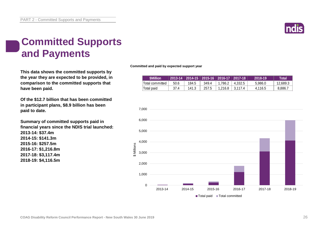![](_page_25_Picture_1.jpeg)

### **Committed Supports and Payments**

**This data shows the committed supports by the year they are expected to be provided, in comparison to the committed supports that have been paid.**

**Of the \$12.7 billion that has been committed in participant plans, \$8.9 billion has been paid to date.**

**Summary of committed supports paid in financial years since the NDIS trial launched: 2013-14: \$37.4m 2014-15: \$141.3m 2015-16: \$257.5m 2016-17: \$1,216.8m 2017-18: \$3,117.4m 2018-19: \$4,116.5m**

**Committed and paid by expected support year**

|                 |      | 2013-14   2014-15   2015-16   2016-17   2017-18 |       |         |         | $2018 - 19$ | Total'   |
|-----------------|------|-------------------------------------------------|-------|---------|---------|-------------|----------|
| Total committed | 50.6 | 184.5                                           | 349.4 | 1.786.2 | 4.332.5 | 5.986.0     | 12.689.3 |
| Total paid      | 37.4 | 141.3                                           | 257.5 | 1.216.8 | 3.117.4 | 4.116.5     | 8,886.7  |

![](_page_25_Figure_8.jpeg)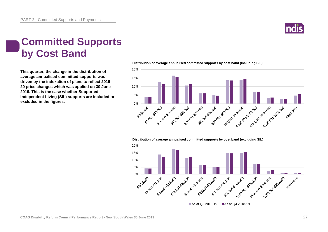![](_page_26_Picture_1.jpeg)

### **Committed Supports by Cost Band**

**This quarter, the change in the distribution of average annualised committed supports was driven by the indexation of plans to reflect 2019- 20 price changes which was applied on 30 June 2019. This is the case whether Supported Independent Living (SIL) supports are included or excluded in the figures.**

20% 15% 10% 5% **90-55-0m** 550.00 510.00 51 5,000 - 5,500 - 500 - 500 - 500 - 500 - 500 - 500 - 500 - 500 - 500 - 500 - 500 - 500 - 500 - 500 - 500 - 500 S250.001×

**Distribution of average annualised committed supports by cost band (excluding SIL)** 

![](_page_26_Figure_6.jpeg)

**Distribution of average annualised committed supports by cost band (including SIL)**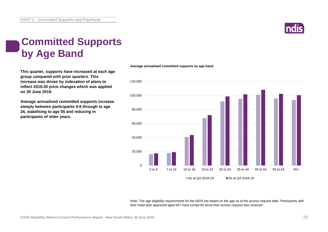![](_page_27_Picture_1.jpeg)

### **Committed Supports by Age Band**

**This quarter, supports have increased at each age group compared with prior quarters. This increase was driven by indexation of plans to reflect 2019-20 price changes which was applied on 30 June 2019.** 

**Average annualised committed supports increase steeply between participants 0-6 through to age 34, stabilising to age 55 and reducing in participants of older years.**

#### **Average annualised committed supports by age band**

![](_page_27_Figure_6.jpeg)

Note: The age eligibility requirements for the NDIS are based on the age as at the access request date. Participants with their initial plan approved aged 65+ have turned 65 since their access request was received.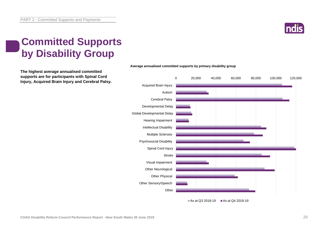![](_page_28_Picture_1.jpeg)

### **Committed Supports by Disability Group**

**The highest average annualised committed supports are for participants with Spinal Cord Injury, Acquired Brain Injury and Cerebral Palsy.**

![](_page_28_Figure_4.jpeg)

#### **Average annualised committed supports by primary disability group**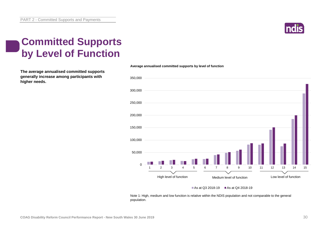![](_page_29_Picture_1.jpeg)

### **Committed Supports by Level of Function**

**The average annualised committed supports generally increase among participants with higher needs.**

![](_page_29_Figure_4.jpeg)

**Average annualised committed supports by level of function**

#### As at Q3 2018-19  $\blacksquare$  As at Q4 2018-19

Note 1: High, medium and low function is relative within the NDIS population and not comparable to the general population.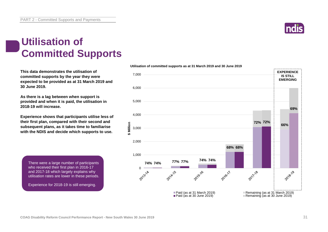![](_page_30_Picture_1.jpeg)

#### **Utilisation of Committed Supports**

**This data demonstrates the utilisation of committed supports by the year they were expected to be provided as at 31 March 2019 and 30 June 2019.** 

**As there is a lag between when support is provided and when it is paid, the utilisation in 2018-19 will increase.**

**Experience shows that participants utilise less of their first plan, compared with their second and subsequent plans, as it takes time to familiarise with the NDIS and decide which supports to use.** 

There were a large number of participants who received their first plan in 2016-17 and 2017-18 which largely explains why utilisation rates are lower in these periods.

Experience for 2018-19 is still emerging.

![](_page_30_Figure_8.jpeg)

**Utilisation of committed supports as at 31 March 2019 and 30 June 2019**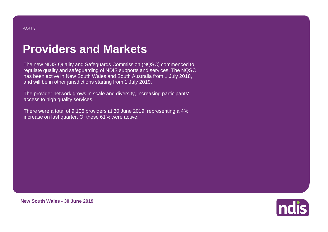# **Providers and Markets**

The new NDIS Quality and Safeguards Commission (NQSC) commenced to regulate quality and safeguarding of NDIS supports and services. The NQSC has been active in New South Wales and South Australia from 1 July 2018, and will be in other jurisdictions starting from 1 July 2019.

The provider network grows in scale and diversity, increasing participants' access to high quality services.

There were a total of 9,106 providers at 30 June 2019, representing a 4% increase on last quarter. Of these 61% were active.

![](_page_31_Picture_4.jpeg)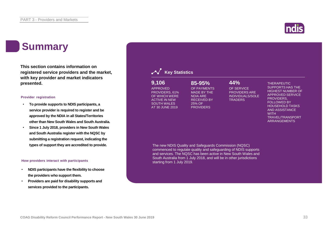#### **Summary**

**This section contains information on registered service providers and the market, with key provider and market indicators presented.**

#### **Provider registration**

- **To provide supports to NDIS participants, a service provider is required to register and be approved by the NDIA in all States/Territories other than New South Wales and South Australia.**
- **Since 1 July 2018, providers in New South Wales and South Australia register with the NQSC by submitting a registration request, indicating the**

#### **How providers interact with participants**

- **NDIS participants have the flexibility to choose the providers who support them.**
- **Providers are paid for disability supports and services provided to the participants.**

![](_page_32_Picture_10.jpeg)

#### **Key Statistics**

APPROVED PROVIDERS, 61% OF WHICH WERE ACTIVE IN NEW SOUTH WALES AT 30 JUNE 2019 **9,106 85-95% 44%**

#### OF PAYMENTS MADE BY THE NDIA ARE RECEIVED BY 25% OF **PROVIDERS**

OF SERVICE PROVIDERS ARE INDIVIDUALS/SOLE **TRADERS** 

THERAPEUTIC SUPPORTS HAS THE HIGHEST NUMBER OF APPROVED SERVICE PROVIDERS, FOLLOWED BY HOUSEHOLD TASKS AND ASSISTANCE **WITH** TRAVEL/TRANSPORT ARRANGEMENTS

**types of support they are accredited to provide.** The new NDIS Quality and Safeguards Commission (NQSC) commenced to regulate quality and safeguarding of NDIS supports and services. The NQSC has been active in New South Wales and South Australia from 1 July 2018, and will be in other jurisdictions starting from 1 July 2019.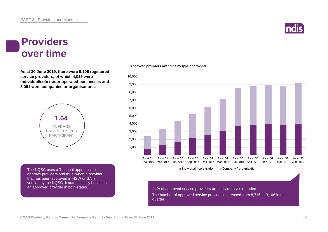![](_page_33_Picture_1.jpeg)

#### **Providers over time**

**As at 30 June 2019, there were 9,106 registered service providers, of which 4,015 were individual/sole trader operated businesses and 5,091 were companies or organisations.**

![](_page_33_Picture_4.jpeg)

The NQSC uses a 'National approach' to approve providers and thus, when a provider that has been approved in NSW or SA is verified by the NQSC, it automatically becomes an approved provider in both states.

**Approved providers over time by type of provider**

![](_page_33_Figure_7.jpeg)

The number of approved service providers increased from 8,716 to 9,106 in the quarter.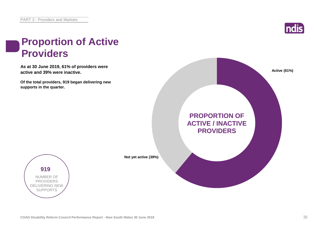![](_page_34_Picture_1.jpeg)

### **Proportion of Active Providers**

**As at 30 June 2019, 61% of providers were active and 39% were inactive.**

**Of the total providers, 919 began delivering new supports in the quarter.**

![](_page_34_Picture_5.jpeg)

![](_page_34_Picture_6.jpeg)

**Not yet active (39%)**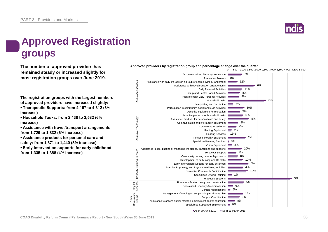![](_page_35_Picture_1.jpeg)

### **Approved Registration groups**

**remained steady or increased slightly for most registration groups over June 2019.**

**The registration groups with the largest numbers of approved providers have increased slightly:**

**• Therapeutic Supports: from 4,167 to 4,312 (3% increase)**

**• Household Tasks: from 2,438 to 2,582 (6% increase)**

**• Assistance with travel/transport arrangements: from 1,729 to 1,832 (6% increase)**

**• Assistance products for personal care and safety: from 1,371 to 1,440 (5% increase)**

**• Early Intervention supports for early childhood: from 1,335 to 1,388 (4% increase)**

![](_page_35_Figure_10.jpeg)

**The number of approved providers has Approved providers by registration group and percentage change over the quarter**

0 500 1,000 1,500 2,000 2,500 3,000 3,500 4,000 4,500 5,000

As at 30 June 2019 **As at 31 March 2019**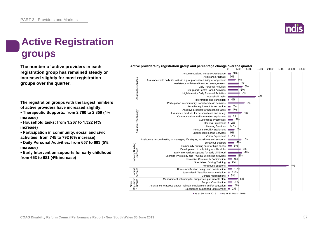### **Active Registration groups**

**The number of active providers in each registration group has remained steady or increased slightly for most registration groups over the quarter.**

**The registration groups with the largest numbers of active providers have increased slightly:**

**• Therapeutic Supports: from 2,760 to 2,859 (4% increase)**

**• Household tasks: from 1,267 to 1,322 (4% increase)**

**• Participation in community, social and civic activities: from 745 to 792 (6% increase)**

**• Daily Personal Activities: from 657 to 693 (5% increase)**

**• Early Intervention supports for early childhood: from 653 to 681 (4% increase)**

![](_page_36_Figure_10.jpeg)

#### Active providers by registration group and percentage change over the quarter<br><sup>000</sup> <sup>500</sup>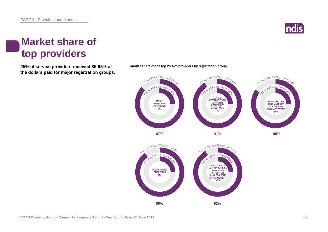![](_page_37_Picture_1.jpeg)

#### **Market share of top providers**

**25% of service providers received 85-95% of Market share of the top 25% of providers by registration group. the dollars paid for major registration groups.**

![](_page_37_Figure_4.jpeg)

![](_page_37_Figure_5.jpeg)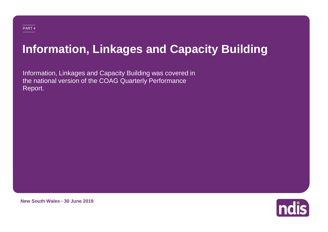#### PART 4

# **Information, Linkages and Capacity Building**

Information, Linkages and Capacity Building was covered in the national version of the COAG Quarterly Performance Report.

**ndis** 

**New South Wales - 30 June 2019**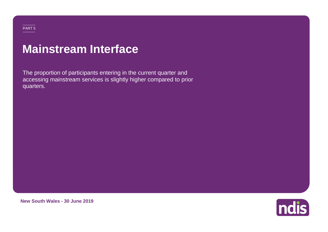## **Mainstream Interface**

The proportion of participants entering in the current quarter and accessing mainstream services is slightly higher compared to prior quarters.

![](_page_39_Picture_2.jpeg)

**New South Wales - 30 June 2019**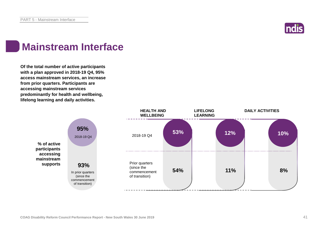![](_page_40_Picture_1.jpeg)

### **Mainstream Interface**

**Of the total number of active participants with a plan approved in 2018-19 Q4, 95% access mainstream services, an increase from prior quarters. Participants are accessing mainstream services predominantly for health and wellbeing, lifelong learning and daily activities.**

![](_page_40_Figure_4.jpeg)